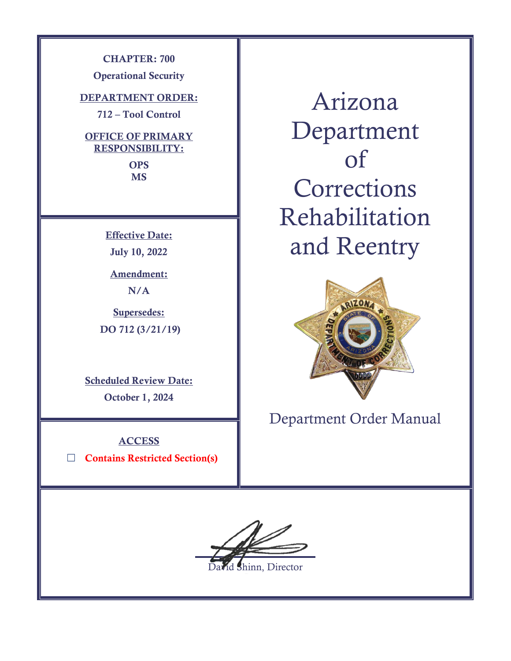**CHAPTER: 700**

**Operational Security**

**DEPARTMENT ORDER:**

**712 – Tool Control**

**OFFICE OF PRIMARY RESPONSIBILITY:**

> **OPS MS**

**Effective Date: July 10, 2022**

**Amendment: N/A**

**Supersedes: DO 712 (3/21/19)**

**Scheduled Review Date: October 1, 2024**

**ACCESS** ☐ **Contains Restricted Section(s)**

Arizona Department of **Corrections** Rehabilitation and Reentry



Department Order Manual

 $\overline{a}$ 

hinn, Director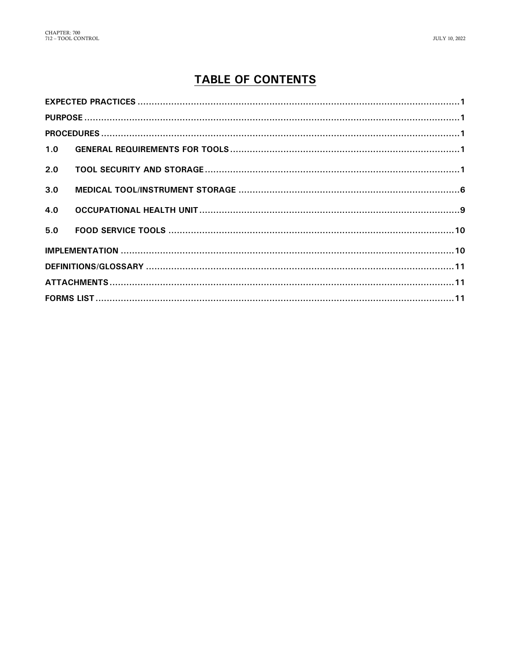# **TABLE OF CONTENTS**

| 1.0 |  |
|-----|--|
| 2.0 |  |
| 3.0 |  |
|     |  |
| 4.0 |  |
| 5.0 |  |
|     |  |
|     |  |
|     |  |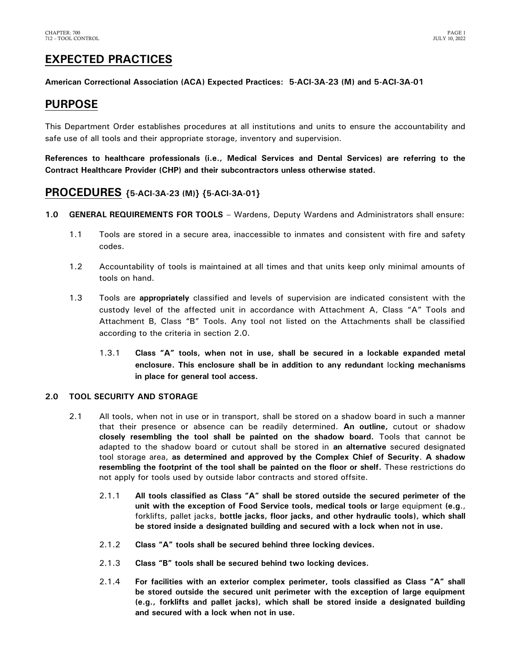# <span id="page-2-0"></span>**EXPECTED PRACTICES**

**American Correctional Association (ACA) Expected Practices: 5-ACI-3A-23 (M) and 5-ACI-3A-01**

## <span id="page-2-1"></span>**PURPOSE**

This Department Order establishes procedures at all institutions and units to ensure the accountability and safe use of all tools and their appropriate storage, inventory and supervision.

**References to healthcare professionals (i.e., Medical Services and Dental Services) are referring to the Contract Healthcare Provider (CHP) and their subcontractors unless otherwise stated.**

## <span id="page-2-2"></span>**PROCEDURES {5-ACI-3A-23 (M)} {5-ACI-3A-01}**

- <span id="page-2-3"></span>**1.0 GENERAL REQUIREMENTS FOR TOOLS** – Wardens, Deputy Wardens and Administrators shall ensure:
	- 1.1 Tools are stored in a secure area, inaccessible to inmates and consistent with fire and safety codes.
	- 1.2 Accountability of tools is maintained at all times and that units keep only minimal amounts of tools on hand.
	- 1.3 Tools are **appropriately** classified and levels of supervision are indicated consistent with the custody level of the affected unit in accordance with Attachment A, Class "A" Tools and Attachment B, Class "B" Tools. Any tool not listed on the Attachments shall be classified according to the criteria in section 2.0.
		- 1.3.1 **Class "A" tools, when not in use, shall be secured in a lockable expanded metal enclosure. This enclosure shall be in addition to any redundant** loc**king mechanisms in place for general tool access.**

## <span id="page-2-4"></span>**2.0 TOOL SECURITY AND STORAGE**

- 2.1 All tools, when not in use or in transport, shall be stored on a shadow board in such a manner that their presence or absence can be readily determined. **An outline,** cutout or shadow **closely resembling the tool shall be painted on the shadow board.** Tools that cannot be adapted to the shadow board or cutout shall be stored in **an alternative** secured designated tool storage area, **as determined and approved by the Complex Chief of Security**. **A shadow resembling the footprint of the tool shall be painted on the floor or shelf.** These restrictions do not apply for tools used by outside labor contracts and stored offsite.
	- 2.1.1 **All tools classified as Class "A" shall be stored outside the secured perimeter of the unit with the exception of Food Service tools, medical tools or l**arge equipment **(e.g**., forklifts, pallet jacks, **bottle jacks, floor jacks, and other hydraulic tools), which shall be stored inside a designated building and secured with a lock when not in use.**
	- 2.1.2 **Class "A" tools shall be secured behind three locking devices.**
	- 2.1.3 **Class "B" tools shall be secured behind two locking devices.**
	- 2.1.4 **For facilities with an exterior complex perimeter, tools classified as Class "A" shall be stored outside the secured unit perimeter with the exception of large equipment (e.g., forklifts and pallet jacks), which shall be stored inside a designated building and secured with a lock when not in use.**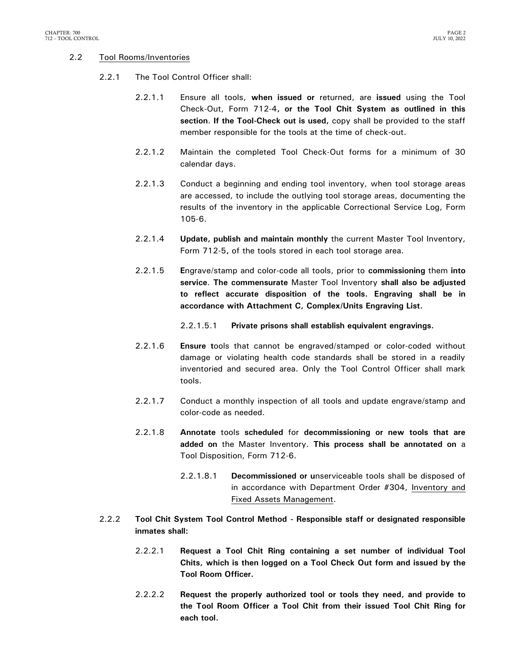### 2.2 Tool Rooms/Inventories

- 2.2.1 The Tool Control Officer shall:
	- 2.2.1.1 Ensure all tools, **when issued or** returned, are **issued** using the Tool Check-Out, Form 712-4**, or the Tool Chit System as outlined in this section**. **If the Tool-Check out is used,** copy shall be provided to the staff member responsible for the tools at the time of check-out.
	- 2.2.1.2 Maintain the completed Tool Check-Out forms for a minimum of 30 calendar days.
	- 2.2.1.3 Conduct a beginning and ending tool inventory, when tool storage areas are accessed, to include the outlying tool storage areas, documenting the results of the inventory in the applicable Correctional Service Log, Form 105-6.
	- 2.2.1.4 **Update, publish and maintain monthly** the current Master Tool Inventory, Form 712-5**,** of the tools stored in each tool storage area.
	- 2.2.1.5 **E**ngrave/stamp and color-code all tools, prior to **commissioning** them **into service**. **The commensurate** Master Tool Inventory **shall also be adjusted to reflect accurate disposition of the tools. Engraving shall be in accordance with Attachment C, Complex/Units Engraving List.**
		- 2.2.1.5.1 **Private prisons shall establish equivalent engravings.**
	- 2.2.1.6 **Ensure t**ools that cannot be engraved/stamped or color-coded without damage or violating health code standards shall be stored in a readily inventoried and secured area. Only the Tool Control Officer shall mark tools.
	- 2.2.1.7 Conduct a monthly inspection of all tools and update engrave/stamp and color-code as needed.
	- 2.2.1.8 **Annotate** tools **scheduled** for **decommissioning or new tools that are added on** the Master Inventory. **This process shall be annotated on** a Tool Disposition, Form 712-6.
		- 2.2.1.8.1 **Decommissioned or u**nserviceable tools shall be disposed of in accordance with Department Order #304, Inventory and Fixed Assets Management.
- 2.2.2 **Tool Chit System Tool Control Method - Responsible staff or designated responsible inmates shall:**
	- 2.2.2.1 **Request a Tool Chit Ring containing a set number of individual Tool Chits, which is then logged on a Tool Check Out form and issued by the Tool Room Officer.**
	- 2.2.2.2 **Request the properly authorized tool or tools they need, and provide to the Tool Room Officer a Tool Chit from their issued Tool Chit Ring for each tool.**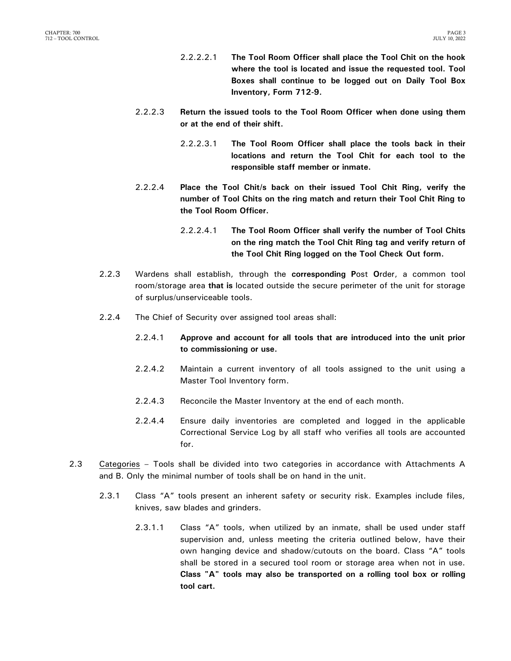- 2.2.2.2.1 **The Tool Room Officer shall place the Tool Chit on the hook where the tool is located and issue the requested tool. Tool Boxes shall continue to be logged out on Daily Tool Box Inventory, Form 712-9.**
- 2.2.2.3 **Return the issued tools to the Tool Room Officer when done using them or at the end of their shift.** 
	- 2.2.2.3.1 **The Tool Room Officer shall place the tools back in their locations and return the Tool Chit for each tool to the responsible staff member or inmate.**
- 2.2.2.4 **Place the Tool Chit/s back on their issued Tool Chit Ring, verify the number of Tool Chits on the ring match and return their Tool Chit Ring to the Tool Room Officer.** 
	- 2.2.2.4.1 **The Tool Room Officer shall verify the number of Tool Chits on the ring match the Tool Chit Ring tag and verify return of the Tool Chit Ring logged on the Tool Check Out form.**
- 2.2.3 Wardens shall establish, through the **corresponding P**ost **O**rder, a common tool room/storage area **that is** located outside the secure perimeter of the unit for storage of surplus/unserviceable tools.
- 2.2.4 The Chief of Security over assigned tool areas shall:
	- 2.2.4.1 **Approve and account for all tools that are introduced into the unit prior to commissioning or use.**
	- 2.2.4.2 Maintain a current inventory of all tools assigned to the unit using a Master Tool Inventory form.
	- 2.2.4.3 Reconcile the Master Inventory at the end of each month.
	- 2.2.4.4 Ensure daily inventories are completed and logged in the applicable Correctional Service Log by all staff who verifies all tools are accounted for.
- 2.3 Categories Tools shall be divided into two categories in accordance with Attachments A and B. Only the minimal number of tools shall be on hand in the unit.
	- 2.3.1 Class "A" tools present an inherent safety or security risk. Examples include files, knives, saw blades and grinders.
		- 2.3.1.1 Class "A" tools, when utilized by an inmate, shall be used under staff supervision and, unless meeting the criteria outlined below, have their own hanging device and shadow/cutouts on the board. Class "A" tools shall be stored in a secured tool room or storage area when not in use. **Class "A" tools may also be transported on a rolling tool box or rolling tool cart.**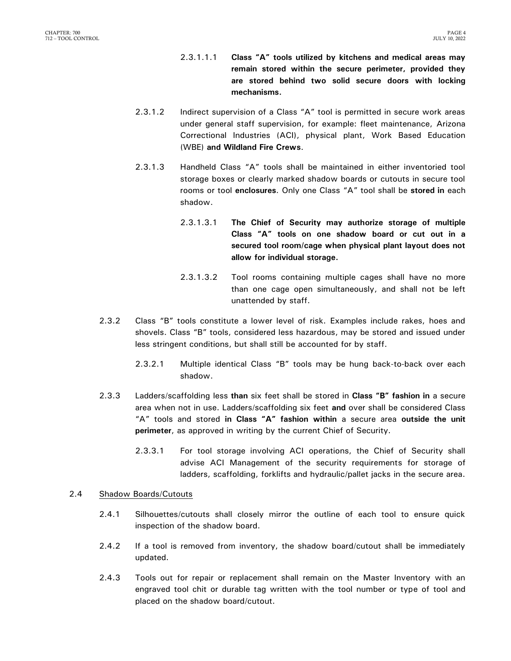- 2.3.1.1.1 **Class "A" tools utilized by kitchens and medical areas may remain stored within the secure perimeter, provided they are stored behind two solid secure doors with locking mechanisms.**
- 2.3.1.2 Indirect supervision of a Class "A" tool is permitted in secure work areas under general staff supervision, for example: fleet maintenance, Arizona Correctional Industries (ACI), physical plant, Work Based Education (WBE) **and Wildland Fire Crews**.
- 2.3.1.3 Handheld Class "A" tools shall be maintained in either inventoried tool storage boxes or clearly marked shadow boards or cutouts in secure tool rooms or tool **enclosures**. Only one Class "A" tool shall be **stored in** each shadow.
	- 2.3.1.3.1 **The Chief of Security may authorize storage of multiple Class "A" tools on one shadow board or cut out in a secured tool room/cage when physical plant layout does not allow for individual storage.**
	- 2.3.1.3.2 Tool rooms containing multiple cages shall have no more than one cage open simultaneously, and shall not be left unattended by staff.
- 2.3.2 Class "B" tools constitute a lower level of risk. Examples include rakes, hoes and shovels. Class "B" tools, considered less hazardous, may be stored and issued under less stringent conditions, but shall still be accounted for by staff.
	- 2.3.2.1 Multiple identical Class "B" tools may be hung back-to-back over each shadow.
- 2.3.3 Ladders/scaffolding less **than** six feet shall be stored in **Class "B" fashion in** a secure area when not in use. Ladders/scaffolding six feet **and** over shall be considered Class "A" tools and stored **in Class "A" fashion within** a secure area **outside the unit perimeter**, as approved in writing by the current Chief of Security.
	- 2.3.3.1 For tool storage involving ACI operations, the Chief of Security shall advise ACI Management of the security requirements for storage of ladders, scaffolding, forklifts and hydraulic/pallet jacks in the secure area.

### 2.4 Shadow Boards/Cutouts

- 2.4.1 Silhouettes/cutouts shall closely mirror the outline of each tool to ensure quick inspection of the shadow board.
- 2.4.2 If a tool is removed from inventory, the shadow board/cutout shall be immediately updated.
- 2.4.3 Tools out for repair or replacement shall remain on the Master Inventory with an engraved tool chit or durable tag written with the tool number or type of tool and placed on the shadow board/cutout.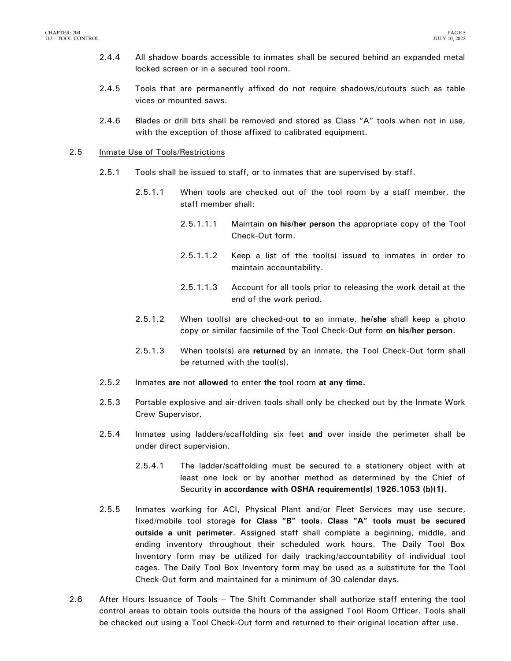- 2.4.4 All shadow boards accessible to inmates shall be secured behind an expanded metal locked screen or in a secured tool room.
- 2.4.5 Tools that are permanently affixed do not require shadows/cutouts such as table vices or mounted saws.
- 2.4.6 Blades or drill bits shall be removed and stored as Class "A" tools when not in use, with the exception of those affixed to calibrated equipment.

#### 2.5 Inmate Use of Tools/Restrictions

- 2.5.1 Tools shall be issued to staff, or to inmates that are supervised by staff.
	- 2.5.1.1 When tools are checked out of the tool room by a staff member, the staff member shall:
		- 2.5.1.1.1 Maintain **on his/her person** the appropriate copy of the Tool Check-Out form.
		- 2.5.1.1.2 Keep a list of the tool(s) issued to inmates in order to maintain accountability.
		- 2.5.1.1.3 Account for all tools prior to releasing the work detail at the end of the work period.
	- 2.5.1.2 When tool(s) are checked-out **to** an inmate, **he/she** shall keep a photo copy or similar facsimile of the Tool Check-Out form **on his/her person**.
	- 2.5.1.3 When tools(s) are **returned** by an inmate, the Tool Check-Out form shall be returned with the tool(s).
- 2.5.2 Inmates **are** not **allowed** to enter **the** tool room **at any time.**
- 2.5.3 Portable explosive and air-driven tools shall only be checked out by the Inmate Work Crew Supervisor.
- 2.5.4 Inmates using ladders/scaffolding six feet **and** over inside the perimeter shall be under direct supervision.
	- 2.5.4.1 The ladder/scaffolding must be secured to a stationery object with at least one lock or by another method as determined by the Chief of Security **in accordance with OSHA requirement(s) 1926.1053 (b)(1).**
- 2.5.5 Inmates working for ACI, Physical Plant and/or Fleet Services may use secure, fixed/mobile tool storage **for Class "B" tools. Class "A" tools must be secured outside a unit perimeter**. Assigned staff shall complete a beginning, middle, and ending inventory throughout their scheduled work hours. The Daily Tool Box Inventory form may be utilized for daily tracking/accountability of individual tool cages. The Daily Tool Box Inventory form may be used as a substitute for the Tool Check-Out form and maintained for a minimum of 30 calendar days.
- 2.6 After Hours Issuance of Tools The Shift Commander shall authorize staff entering the tool control areas to obtain tools outside the hours of the assigned Tool Room Officer. Tools shall be checked out using a Tool Check-Out form and returned to their original location after use.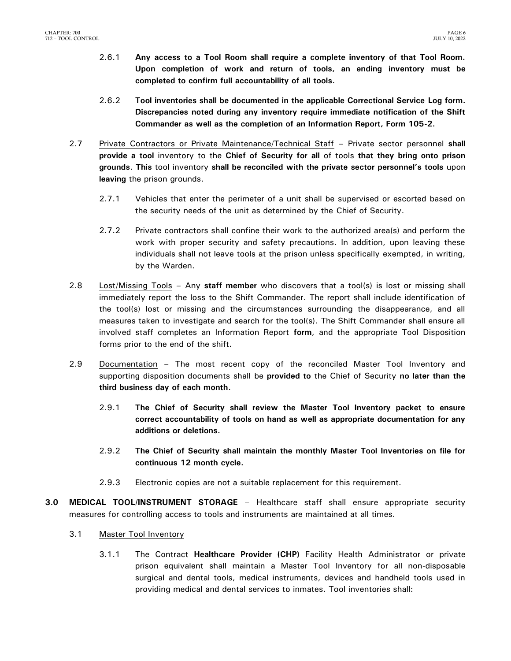- 2.6.1 **Any access to a Tool Room shall require a complete inventory of that Tool Room. Upon completion of work and return of tools, an ending inventory must be completed to confirm full accountability of all tools.**
- 2.6.2 **Tool inventories shall be documented in the applicable Correctional Service Log form. Discrepancies noted during any inventory require immediate notification of the Shift Commander as well as the completion of an Information Report, Form 105-2.**
- 2.7 Private Contractors or Private Maintenance/Technical Staff Private sector personnel **shall provide a tool** inventory to the **Chief of Security for all** of tools **that they bring onto prison grounds**. **This** tool inventory **shall be reconciled with the private sector personnel's tools** upon **leaving** the prison grounds.
	- 2.7.1 Vehicles that enter the perimeter of a unit shall be supervised or escorted based on the security needs of the unit as determined by the Chief of Security.
	- 2.7.2 Private contractors shall confine their work to the authorized area(s) and perform the work with proper security and safety precautions. In addition, upon leaving these individuals shall not leave tools at the prison unless specifically exempted, in writing, by the Warden.
- 2.8 Lost/Missing Tools Any **staff member** who discovers that a tool(s) is lost or missing shall immediately report the loss to the Shift Commander. The report shall include identification of the tool(s) lost or missing and the circumstances surrounding the disappearance, and all measures taken to investigate and search for the tool(s). The Shift Commander shall ensure all involved staff completes an Information Report **form**, and the appropriate Tool Disposition forms prior to the end of the shift.
- 2.9 Documentation The most recent copy of the reconciled Master Tool Inventory and supporting disposition documents shall be **provided to** the Chief of Security **no later than the third business day of each month**.
	- 2.9.1 **The Chief of Security shall review the Master Tool Inventory packet to ensure correct accountability of tools on hand as well as appropriate documentation for any additions or deletions.**
	- 2.9.2 **The Chief of Security shall maintain the monthly Master Tool Inventories on file for continuous 12 month cycle.**
	- 2.9.3 Electronic copies are not a suitable replacement for this requirement.
- <span id="page-7-0"></span>**3.0 MEDICAL TOOL/INSTRUMENT STORAGE** – Healthcare staff shall ensure appropriate security measures for controlling access to tools and instruments are maintained at all times.
	- 3.1 Master Tool Inventory
		- 3.1.1 The Contract **Healthcare Provider (CHP)** Facility Health Administrator or private prison equivalent shall maintain a Master Tool Inventory for all non-disposable surgical and dental tools, medical instruments, devices and handheld tools used in providing medical and dental services to inmates. Tool inventories shall: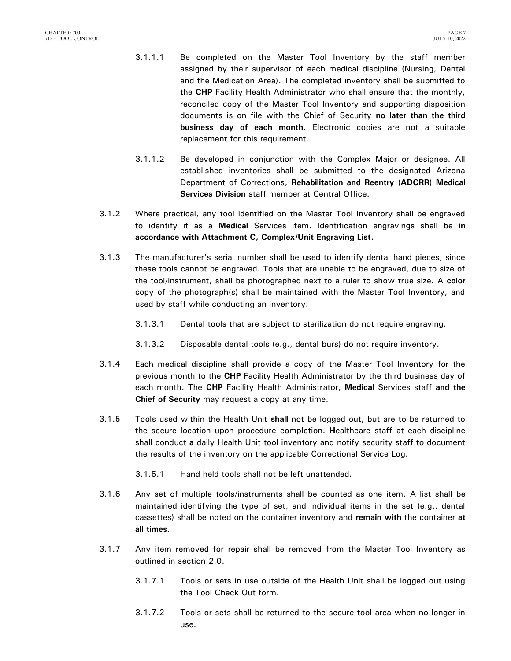- 3.1.1.1 Be completed on the Master Tool Inventory by the staff member assigned by their supervisor of each medical discipline (Nursing, Dental and the Medication Area). The completed inventory shall be submitted to the **CHP** Facility Health Administrator who shall ensure that the monthly, reconciled copy of the Master Tool Inventory and supporting disposition documents is on file with the Chief of Security **no later than the third business day of each month**. Electronic copies are not a suitable replacement for this requirement.
- 3.1.1.2 Be developed in conjunction with the Complex Major or designee. All established inventories shall be submitted to the designated Arizona Department of Corrections, **Rehabilitation and Reentry** (**ADCRR**) **Medical Services Division** staff member at Central Office.
- 3.1.2 Where practical, any tool identified on the Master Tool Inventory shall be engraved to identify it as a **Medical** Services item. Identification engravings shall be **in accordance with Attachment C, Complex/Unit Engraving List.**
- 3.1.3 The manufacturer's serial number shall be used to identify dental hand pieces, since these tools cannot be engraved. Tools that are unable to be engraved, due to size of the tool/instrument, shall be photographed next to a ruler to show true size. A **color**  copy of the photograph(s) shall be maintained with the Master Tool Inventory, and used by staff while conducting an inventory.
	- 3.1.3.1 Dental tools that are subject to sterilization do not require engraving.
	- 3.1.3.2 Disposable dental tools (e.g., dental burs) do not require inventory.
- 3.1.4 Each medical discipline shall provide a copy of the Master Tool Inventory for the previous month to the **CHP** Facility Health Administrator by the third business day of each month. The **CHP** Facility Health Administrator, **Medical** Services staff **and the Chief of Security** may request a copy at any time.
- 3.1.5 Tools used within the Health Unit **shall** not be logged out, but are to be returned to the secure location upon procedure completion. **H**ealthcare staff at each discipline shall conduct **a** daily Health Unit tool inventory and notify security staff to document the results of the inventory on the applicable Correctional Service Log.
	- 3.1.5.1 Hand held tools shall not be left unattended.
- 3.1.6 Any set of multiple tools/instruments shall be counted as one item. A list shall be maintained identifying the type of set, and individual items in the set (e.g., dental cassettes) shall be noted on the container inventory and **remain with** the container **at all times**.
- 3.1.7 Any item removed for repair shall be removed from the Master Tool Inventory as outlined in section 2.0.
	- 3.1.7.1 Tools or sets in use outside of the Health Unit shall be logged out using the Tool Check Out form.
	- 3.1.7.2 Tools or sets shall be returned to the secure tool area when no longer in use.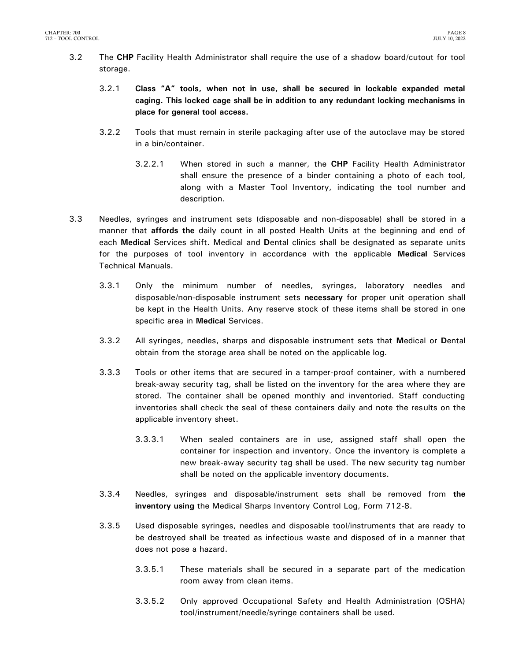- 3.2 The **CHP** Facility Health Administrator shall require the use of a shadow board/cutout for tool storage.
	- 3.2.1 **Class "A" tools, when not in use, shall be secured in lockable expanded metal caging. This locked cage shall be in addition to any redundant locking mechanisms in place for general tool access.**
	- 3.2.2 Tools that must remain in sterile packaging after use of the autoclave may be stored in a bin/container.
		- 3.2.2.1 When stored in such a manner, the **CHP** Facility Health Administrator shall ensure the presence of a binder containing a photo of each tool, along with a Master Tool Inventory, indicating the tool number and description.
- 3.3 Needles, syringes and instrument sets (disposable and non-disposable) shall be stored in a manner that **affords the** daily count in all posted Health Units at the beginning and end of each **Medical** Services shift. Medical and **D**ental clinics shall be designated as separate units for the purposes of tool inventory in accordance with the applicable **Medical** Services Technical Manuals.
	- 3.3.1 Only the minimum number of needles, syringes, laboratory needles and disposable/non-disposable instrument sets **necessary** for proper unit operation shall be kept in the Health Units. Any reserve stock of these items shall be stored in one specific area in **Medical** Services.
	- 3.3.2 All syringes, needles, sharps and disposable instrument sets that **M**edical or **D**ental obtain from the storage area shall be noted on the applicable log.
	- 3.3.3 Tools or other items that are secured in a tamper-proof container, with a numbered break-away security tag, shall be listed on the inventory for the area where they are stored. The container shall be opened monthly and inventoried. Staff conducting inventories shall check the seal of these containers daily and note the results on the applicable inventory sheet.
		- 3.3.3.1 When sealed containers are in use, assigned staff shall open the container for inspection and inventory. Once the inventory is complete a new break-away security tag shall be used. The new security tag number shall be noted on the applicable inventory documents.
	- 3.3.4 Needles, syringes and disposable/instrument sets shall be removed from **the inventory using** the Medical Sharps Inventory Control Log, Form 712-8.
	- 3.3.5 Used disposable syringes, needles and disposable tool/instruments that are ready to be destroyed shall be treated as infectious waste and disposed of in a manner that does not pose a hazard.
		- 3.3.5.1 These materials shall be secured in a separate part of the medication room away from clean items.
		- 3.3.5.2 Only approved Occupational Safety and Health Administration (OSHA) tool/instrument/needle/syringe containers shall be used.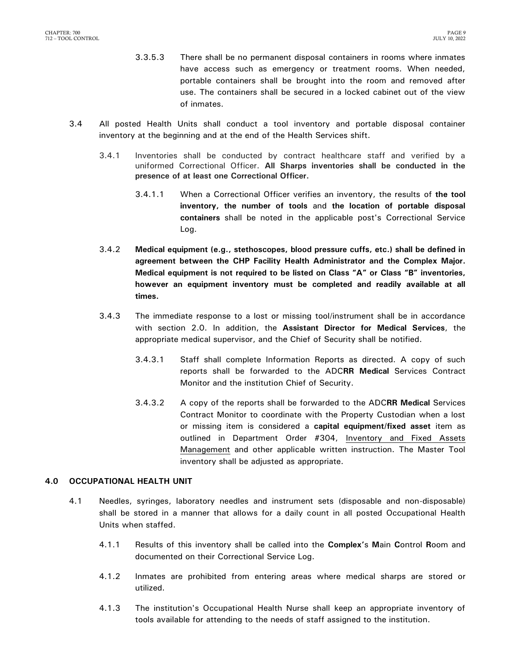- 3.3.5.3 There shall be no permanent disposal containers in rooms where inmates have access such as emergency or treatment rooms. When needed, portable containers shall be brought into the room and removed after use. The containers shall be secured in a locked cabinet out of the view of inmates.
- 3.4 All posted Health Units shall conduct a tool inventory and portable disposal container inventory at the beginning and at the end of the Health Services shift.
	- 3.4.1 Inventories shall be conducted by contract healthcare staff and verified by a uniformed Correctional Officer. **All Sharps inventories shall be conducted in the presence of at least one Correctional Officer.**
		- 3.4.1.1 When a Correctional Officer verifies an inventory, the results of **the tool inventory, the number of tools** and **the location of portable disposal containers** shall be noted in the applicable post's Correctional Service Log.
	- 3.4.2 **Medical equipment (e.g., stethoscopes, blood pressure cuffs, etc.) shall be defined in agreement between the CHP Facility Health Administrator and the Complex Major. Medical equipment is not required to be listed on Class "A" or Class "B" inventories, however an equipment inventory must be completed and readily available at all times.**
	- 3.4.3 The immediate response to a lost or missing tool/instrument shall be in accordance with section 2.0. In addition, the **Assistant Director for Medical Services**, the appropriate medical supervisor, and the Chief of Security shall be notified.
		- 3.4.3.1 Staff shall complete Information Reports as directed. A copy of such reports shall be forwarded to the ADC**RR Medical** Services Contract Monitor and the institution Chief of Security.
		- 3.4.3.2 A copy of the reports shall be forwarded to the ADC**RR Medical** Services Contract Monitor to coordinate with the Property Custodian when a lost or missing item is considered a **capital equipment/fixed asset** item as outlined in Department Order #304, Inventory and Fixed Assets Management and other applicable written instruction. The Master Tool inventory shall be adjusted as appropriate.

## <span id="page-10-0"></span>**4.0 OCCUPATIONAL HEALTH UNIT**

- 4.1 Needles, syringes, laboratory needles and instrument sets (disposable and non-disposable) shall be stored in a manner that allows for a daily count in all posted Occupational Health Units when staffed.
	- 4.1.1 Results of this inventory shall be called into the **Complex'**s **M**ain **C**ontrol **R**oom and documented on their Correctional Service Log.
	- 4.1.2 Inmates are prohibited from entering areas where medical sharps are stored or utilized.
	- 4.1.3 The institution's Occupational Health Nurse shall keep an appropriate inventory of tools available for attending to the needs of staff assigned to the institution.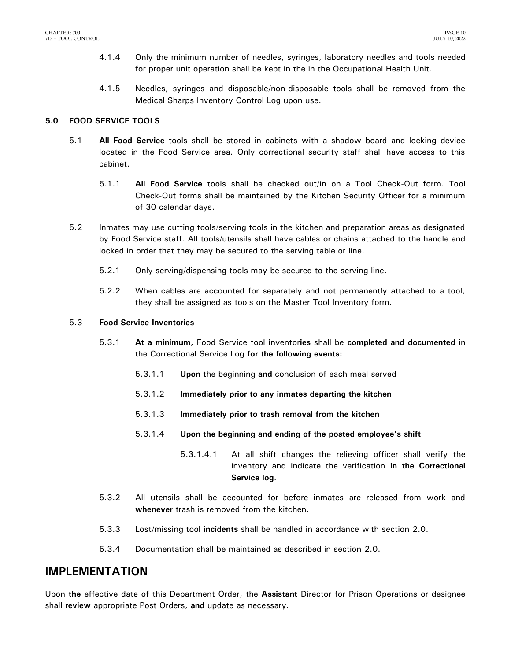- 4.1.4 Only the minimum number of needles, syringes, laboratory needles and tools needed for proper unit operation shall be kept in the in the Occupational Health Unit.
- 4.1.5 Needles, syringes and disposable/non-disposable tools shall be removed from the Medical Sharps Inventory Control Log upon use.

### <span id="page-11-0"></span>**5.0 FOOD SERVICE TOOLS**

- 5.1 **All Food Service** tools shall be stored in cabinets with a shadow board and locking device located in the Food Service area. Only correctional security staff shall have access to this cabinet.
	- 5.1.1 **All Food Service** tools shall be checked out/in on a Tool Check-Out form. Tool Check-Out forms shall be maintained by the Kitchen Security Officer for a minimum of 30 calendar days.
- 5.2 Inmates may use cutting tools/serving tools in the kitchen and preparation areas as designated by Food Service staff. All tools/utensils shall have cables or chains attached to the handle and locked in order that they may be secured to the serving table or line.
	- 5.2.1 Only serving/dispensing tools may be secured to the serving line.
	- 5.2.2 When cables are accounted for separately and not permanently attached to a tool, they shall be assigned as tools on the Master Tool Inventory form.

### 5.3 **Food Service Inventories**

- 5.3.1 **At a minimum,** Food Service tool **i**nventor**ies** shall be **completed and documented** in the Correctional Service Log **for the following events:**
	- 5.3.1.1 **Upon** the beginning **and** conclusion of each meal served
	- 5.3.1.2 **Immediately prior to any inmates departing the kitchen**
	- 5.3.1.3 **Immediately prior to trash removal from the kitchen**
	- 5.3.1.4 **Upon the beginning and ending of the posted employee's shift** 
		- 5.3.1.4.1 At all shift changes the relieving officer shall verify the inventory and indicate the verification **in the Correctional Service log**.
- 5.3.2 All utensils shall be accounted for before inmates are released from work and **whenever** trash is removed from the kitchen.
- <span id="page-11-1"></span>5.3.3 Lost/missing tool **incidents** shall be handled in accordance with section 2.0.
- 5.3.4 Documentation shall be maintained as described in section 2.0.

## **IMPLEMENTATION**

Upon **the** effective date of this Department Order, the **Assistant** Director for Prison Operations or designee shall **review** appropriate Post Orders, **and** update as necessary.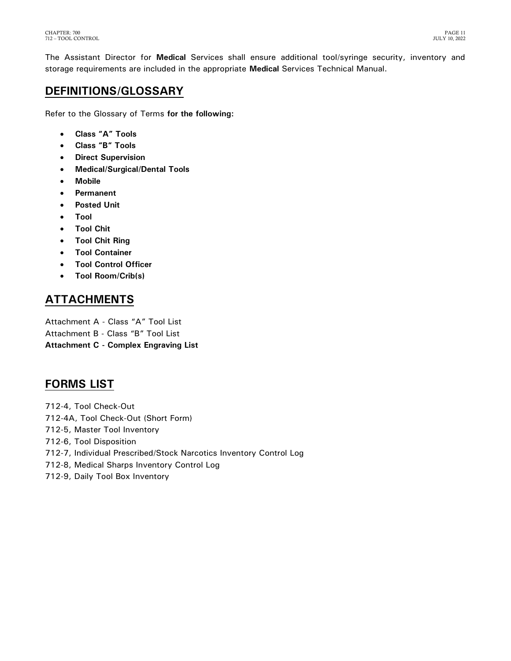The Assistant Director for **Medical** Services shall ensure additional tool/syringe security, inventory and storage requirements are included in the appropriate **Medical** Services Technical Manual.

# <span id="page-12-0"></span>**DEFINITIONS/GLOSSARY**

Refer to the Glossary of Terms **for the following:**

- **Class "A" Tools**
- **Class "B" Tools**
- **Direct Supervision**
- **Medical/Surgical/Dental Tools**
- **Mobile**
- **Permanent**
- **Posted Unit**
- **Tool**
- **Tool Chit**
- **Tool Chit Ring**
- **Tool Container**
- **Tool Control Officer**
- **Tool Room/Crib(s)**

# <span id="page-12-1"></span>**ATTACHMENTS**

Attachment A - Class "A" Tool List Attachment B - Class "B" Tool List **Attachment C - Complex Engraving List** 

## <span id="page-12-2"></span>**FORMS LIST**

- 712-4, Tool Check-Out 712-4A, Tool Check-Out (Short Form) 712-5, Master Tool Inventory 712-6, Tool Disposition
- 712-7, Individual Prescribed/Stock Narcotics Inventory Control Log
- 712-8, Medical Sharps Inventory Control Log
- 712-9, Daily Tool Box Inventory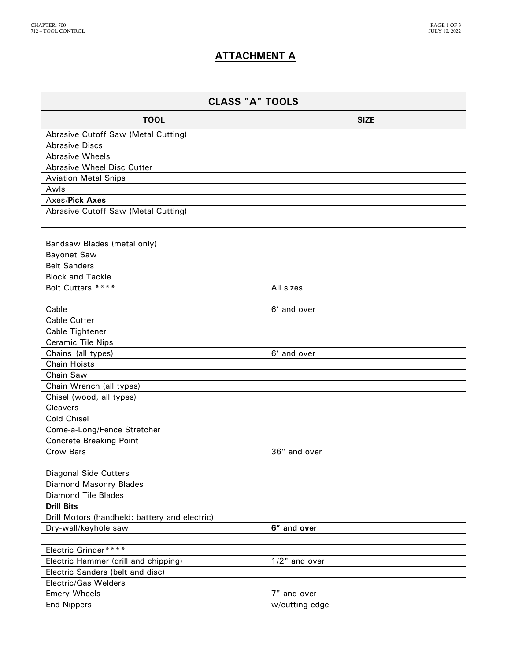## **ATTACHMENT A**

| <b>CLASS "A" TOOLS</b>                        |                  |  |
|-----------------------------------------------|------------------|--|
| <b>TOOL</b>                                   | <b>SIZE</b>      |  |
| Abrasive Cutoff Saw (Metal Cutting)           |                  |  |
| <b>Abrasive Discs</b>                         |                  |  |
| <b>Abrasive Wheels</b>                        |                  |  |
| <b>Abrasive Wheel Disc Cutter</b>             |                  |  |
| <b>Aviation Metal Snips</b>                   |                  |  |
| Awls                                          |                  |  |
| Axes/Pick Axes                                |                  |  |
| <b>Abrasive Cutoff Saw (Metal Cutting)</b>    |                  |  |
|                                               |                  |  |
| Bandsaw Blades (metal only)                   |                  |  |
| <b>Bayonet Saw</b>                            |                  |  |
| <b>Belt Sanders</b>                           |                  |  |
| <b>Block and Tackle</b>                       |                  |  |
| Bolt Cutters ****                             | All sizes        |  |
|                                               |                  |  |
| Cable                                         | 6' and over      |  |
| <b>Cable Cutter</b>                           |                  |  |
| Cable Tightener                               |                  |  |
| <b>Ceramic Tile Nips</b>                      |                  |  |
| Chains (all types)                            | 6' and over      |  |
| <b>Chain Hoists</b>                           |                  |  |
| Chain Saw                                     |                  |  |
| Chain Wrench (all types)                      |                  |  |
| Chisel (wood, all types)                      |                  |  |
| <b>Cleavers</b>                               |                  |  |
| <b>Cold Chisel</b>                            |                  |  |
| Come-a-Long/Fence Stretcher                   |                  |  |
| <b>Concrete Breaking Point</b>                |                  |  |
| Crow Bars                                     | 36" and over     |  |
| <b>Diagonal Side Cutters</b>                  |                  |  |
| <b>Diamond Masonry Blades</b>                 |                  |  |
| <b>Diamond Tile Blades</b>                    |                  |  |
| <b>Drill Bits</b>                             |                  |  |
| Drill Motors (handheld: battery and electric) |                  |  |
| Dry-wall/keyhole saw                          | 6" and over      |  |
|                                               |                  |  |
| Electric Grinder****                          |                  |  |
| Electric Hammer (drill and chipping)          | $1/2$ " and over |  |
| Electric Sanders (belt and disc)              |                  |  |
| Electric/Gas Welders                          |                  |  |
| <b>Emery Wheels</b>                           | 7" and over      |  |
| <b>End Nippers</b>                            | w/cutting edge   |  |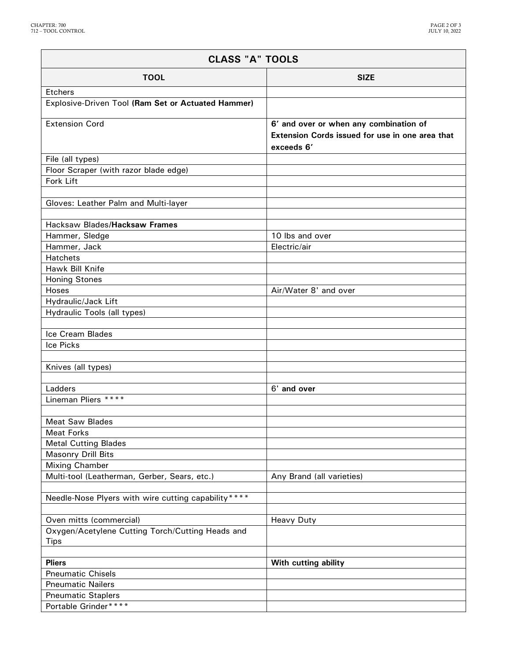ŕ

| <b>CLASS "A" TOOLS</b>                               |                                                                                                         |  |
|------------------------------------------------------|---------------------------------------------------------------------------------------------------------|--|
| <b>TOOL</b>                                          | <b>SIZE</b>                                                                                             |  |
| Etchers                                              |                                                                                                         |  |
| Explosive-Driven Tool (Ram Set or Actuated Hammer)   |                                                                                                         |  |
| <b>Extension Cord</b>                                | 6' and over or when any combination of<br>Extension Cords issued for use in one area that<br>exceeds 6' |  |
|                                                      |                                                                                                         |  |
| File (all types)                                     |                                                                                                         |  |
| Floor Scraper (with razor blade edge)                |                                                                                                         |  |
| Fork Lift                                            |                                                                                                         |  |
|                                                      |                                                                                                         |  |
| Gloves: Leather Palm and Multi-layer                 |                                                                                                         |  |
|                                                      |                                                                                                         |  |
| Hacksaw Blades/Hacksaw Frames                        |                                                                                                         |  |
| Hammer, Sledge                                       | 10 lbs and over                                                                                         |  |
| Hammer, Jack                                         | Electric/air                                                                                            |  |
| Hatchets                                             |                                                                                                         |  |
| Hawk Bill Knife                                      |                                                                                                         |  |
| <b>Honing Stones</b>                                 |                                                                                                         |  |
| Hoses                                                | Air/Water 8' and over                                                                                   |  |
| Hydraulic/Jack Lift                                  |                                                                                                         |  |
| Hydraulic Tools (all types)                          |                                                                                                         |  |
|                                                      |                                                                                                         |  |
| Ice Cream Blades                                     |                                                                                                         |  |
| Ice Picks                                            |                                                                                                         |  |
|                                                      |                                                                                                         |  |
| Knives (all types)                                   |                                                                                                         |  |
| Ladders                                              | 6' and over                                                                                             |  |
| Lineman Pliers ****                                  |                                                                                                         |  |
|                                                      |                                                                                                         |  |
| <b>Meat Saw Blades</b>                               |                                                                                                         |  |
| <b>Meat Forks</b>                                    |                                                                                                         |  |
| <b>Metal Cutting Blades</b>                          |                                                                                                         |  |
| <b>Masonry Drill Bits</b>                            |                                                                                                         |  |
| <b>Mixing Chamber</b>                                |                                                                                                         |  |
| Multi-tool (Leatherman, Gerber, Sears, etc.)         | Any Brand (all varieties)                                                                               |  |
|                                                      |                                                                                                         |  |
| Needle-Nose Plyers with wire cutting capability **** |                                                                                                         |  |
|                                                      |                                                                                                         |  |
| Oven mitts (commercial)                              | <b>Heavy Duty</b>                                                                                       |  |
| Oxygen/Acetylene Cutting Torch/Cutting Heads and     |                                                                                                         |  |
| <b>Tips</b>                                          |                                                                                                         |  |
|                                                      |                                                                                                         |  |
| <b>Pliers</b>                                        | With cutting ability                                                                                    |  |
| <b>Pneumatic Chisels</b>                             |                                                                                                         |  |
| <b>Pneumatic Nailers</b>                             |                                                                                                         |  |
| <b>Pneumatic Staplers</b>                            |                                                                                                         |  |
| Portable Grinder****                                 |                                                                                                         |  |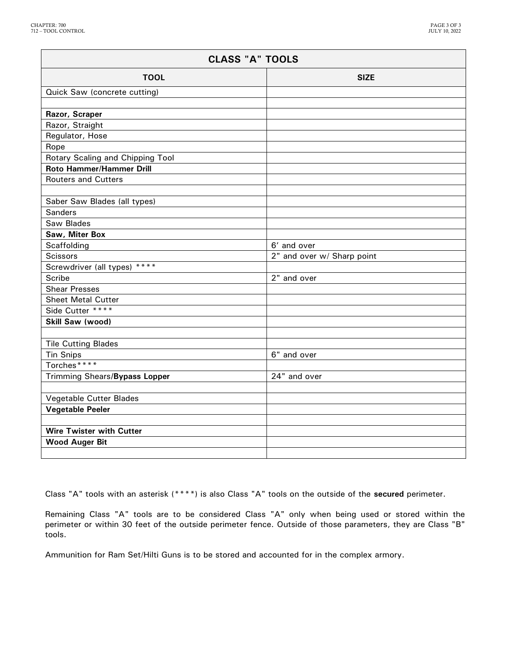| <b>CLASS "A" TOOLS</b>           |                            |  |
|----------------------------------|----------------------------|--|
| <b>TOOL</b>                      | <b>SIZE</b>                |  |
| Quick Saw (concrete cutting)     |                            |  |
|                                  |                            |  |
| Razor, Scraper                   |                            |  |
| Razor, Straight                  |                            |  |
| Regulator, Hose                  |                            |  |
| Rope                             |                            |  |
| Rotary Scaling and Chipping Tool |                            |  |
| Roto Hammer/Hammer Drill         |                            |  |
| <b>Routers and Cutters</b>       |                            |  |
|                                  |                            |  |
| Saber Saw Blades (all types)     |                            |  |
| <b>Sanders</b>                   |                            |  |
| Saw Blades                       |                            |  |
| Saw, Miter Box                   |                            |  |
| Scaffolding                      | 6' and over                |  |
| <b>Scissors</b>                  | 2" and over w/ Sharp point |  |
| Screwdriver (all types) ****     |                            |  |
| Scribe                           | 2" and over                |  |
| <b>Shear Presses</b>             |                            |  |
| <b>Sheet Metal Cutter</b>        |                            |  |
| Side Cutter ****                 |                            |  |
| Skill Saw (wood)                 |                            |  |
|                                  |                            |  |
| <b>Tile Cutting Blades</b>       |                            |  |
| <b>Tin Snips</b>                 | 6" and over                |  |
| Torches****                      |                            |  |
| Trimming Shears/Bypass Lopper    | 24" and over               |  |
| Vegetable Cutter Blades          |                            |  |
| <b>Vegetable Peeler</b>          |                            |  |
|                                  |                            |  |
| <b>Wire Twister with Cutter</b>  |                            |  |
| <b>Wood Auger Bit</b>            |                            |  |
|                                  |                            |  |

Class "A" tools with an asterisk (\*\*\*\*) is also Class "A" tools on the outside of the **secured** perimeter.

Remaining Class "A" tools are to be considered Class "A" only when being used or stored within the perimeter or within 30 feet of the outside perimeter fence. Outside of those parameters, they are Class "B" tools.

Ammunition for Ram Set/Hilti Guns is to be stored and accounted for in the complex armory.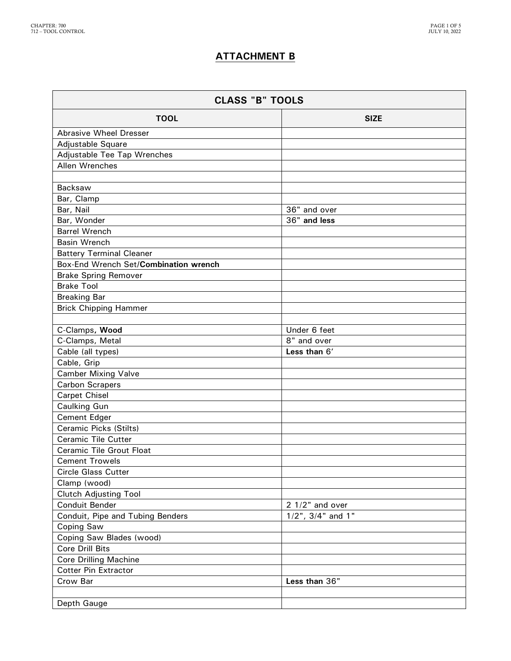## **ATTACHMENT B**

| <b>CLASS "B" TOOLS</b>                |                             |  |
|---------------------------------------|-----------------------------|--|
| <b>TOOL</b>                           | <b>SIZE</b>                 |  |
| <b>Abrasive Wheel Dresser</b>         |                             |  |
| Adjustable Square                     |                             |  |
| Adjustable Tee Tap Wrenches           |                             |  |
| Allen Wrenches                        |                             |  |
|                                       |                             |  |
| Backsaw                               |                             |  |
| Bar, Clamp                            |                             |  |
| Bar, Nail                             | 36" and over                |  |
| Bar, Wonder                           | 36" and less                |  |
| <b>Barrel Wrench</b>                  |                             |  |
| <b>Basin Wrench</b>                   |                             |  |
| <b>Battery Terminal Cleaner</b>       |                             |  |
| Box-End Wrench Set/Combination wrench |                             |  |
| <b>Brake Spring Remover</b>           |                             |  |
| <b>Brake Tool</b>                     |                             |  |
| <b>Breaking Bar</b>                   |                             |  |
| <b>Brick Chipping Hammer</b>          |                             |  |
|                                       |                             |  |
| C-Clamps, Wood                        | Under 6 feet                |  |
| C-Clamps, Metal                       | 8" and over<br>Less than 6' |  |
| Cable (all types)<br>Cable, Grip      |                             |  |
| <b>Camber Mixing Valve</b>            |                             |  |
| <b>Carbon Scrapers</b>                |                             |  |
| <b>Carpet Chisel</b>                  |                             |  |
| Caulking Gun                          |                             |  |
| Cement Edger                          |                             |  |
| Ceramic Picks (Stilts)                |                             |  |
| <b>Ceramic Tile Cutter</b>            |                             |  |
| <b>Ceramic Tile Grout Float</b>       |                             |  |
| <b>Cement Trowels</b>                 |                             |  |
| <b>Circle Glass Cutter</b>            |                             |  |
| Clamp (wood)                          |                             |  |
| <b>Clutch Adjusting Tool</b>          |                             |  |
| Conduit Bender                        | $21/2"$ and over            |  |
| Conduit, Pipe and Tubing Benders      | $1/2$ ", $3/4$ " and $1$ "  |  |
| Coping Saw                            |                             |  |
| Coping Saw Blades (wood)              |                             |  |
| Core Drill Bits                       |                             |  |
| <b>Core Drilling Machine</b>          |                             |  |
| <b>Cotter Pin Extractor</b>           |                             |  |
| Crow Bar                              | Less than 36"               |  |
|                                       |                             |  |
| Depth Gauge                           |                             |  |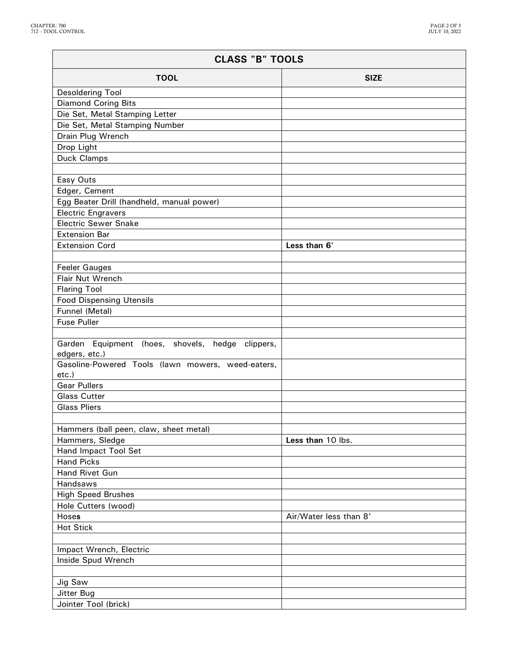| <b>CLASS "B" TOOLS</b>                                            |                        |  |
|-------------------------------------------------------------------|------------------------|--|
| <b>TOOL</b>                                                       | <b>SIZE</b>            |  |
| Desoldering Tool                                                  |                        |  |
| <b>Diamond Coring Bits</b>                                        |                        |  |
| Die Set, Metal Stamping Letter                                    |                        |  |
| Die Set, Metal Stamping Number                                    |                        |  |
| Drain Plug Wrench                                                 |                        |  |
| Drop Light                                                        |                        |  |
| Duck Clamps                                                       |                        |  |
|                                                                   |                        |  |
| Easy Outs                                                         |                        |  |
| Edger, Cement                                                     |                        |  |
| Egg Beater Drill (handheld, manual power)                         |                        |  |
| <b>Electric Engravers</b>                                         |                        |  |
| <b>Electric Sewer Snake</b>                                       |                        |  |
| <b>Extension Bar</b>                                              |                        |  |
| <b>Extension Cord</b>                                             | Less than 6'           |  |
| <b>Feeler Gauges</b>                                              |                        |  |
| Flair Nut Wrench                                                  |                        |  |
| <b>Flaring Tool</b>                                               |                        |  |
| <b>Food Dispensing Utensils</b>                                   |                        |  |
| Funnel (Metal)                                                    |                        |  |
| <b>Fuse Puller</b>                                                |                        |  |
|                                                                   |                        |  |
| Garden Equipment (hoes, shovels, hedge clippers,<br>edgers, etc.) |                        |  |
| Gasoline-Powered Tools (lawn mowers, weed-eaters,                 |                        |  |
| etc.)                                                             |                        |  |
| <b>Gear Pullers</b>                                               |                        |  |
| <b>Glass Cutter</b>                                               |                        |  |
| <b>Glass Pliers</b>                                               |                        |  |
| Hammers (ball peen, claw, sheet metal)                            |                        |  |
| Hammers, Sledge                                                   | Less than 10 lbs.      |  |
| Hand Impact Tool Set                                              |                        |  |
| <b>Hand Picks</b>                                                 |                        |  |
| Hand Rivet Gun                                                    |                        |  |
| Handsaws                                                          |                        |  |
| <b>High Speed Brushes</b>                                         |                        |  |
| Hole Cutters (wood)                                               |                        |  |
| Hoses                                                             | Air/Water less than 8' |  |
| <b>Hot Stick</b>                                                  |                        |  |
|                                                                   |                        |  |
| Impact Wrench, Electric                                           |                        |  |
| Inside Spud Wrench                                                |                        |  |
|                                                                   |                        |  |
| Jig Saw                                                           |                        |  |
| Jitter Bug                                                        |                        |  |
| Jointer Tool (brick)                                              |                        |  |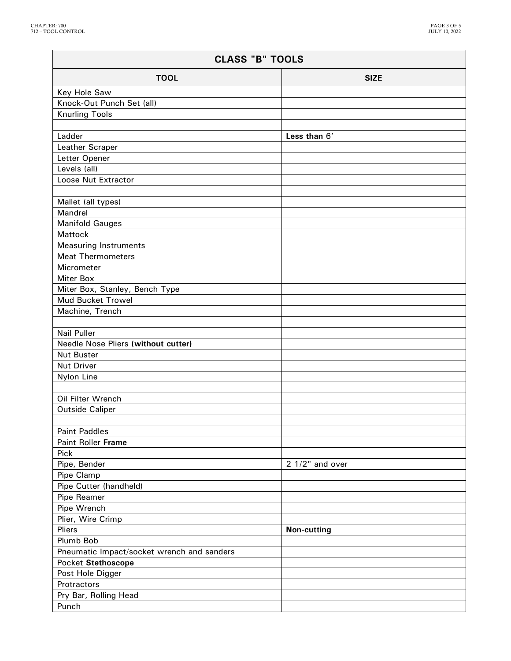| <b>CLASS "B" TOOLS</b>                     |                    |  |
|--------------------------------------------|--------------------|--|
| <b>TOOL</b>                                | <b>SIZE</b>        |  |
| Key Hole Saw                               |                    |  |
| Knock-Out Punch Set (all)                  |                    |  |
| <b>Knurling Tools</b>                      |                    |  |
|                                            |                    |  |
| Ladder                                     | Less than 6'       |  |
| Leather Scraper                            |                    |  |
| Letter Opener                              |                    |  |
| Levels (all)                               |                    |  |
| Loose Nut Extractor                        |                    |  |
|                                            |                    |  |
| Mallet (all types)                         |                    |  |
| Mandrel                                    |                    |  |
| <b>Manifold Gauges</b>                     |                    |  |
| Mattock                                    |                    |  |
| <b>Measuring Instruments</b>               |                    |  |
| <b>Meat Thermometers</b>                   |                    |  |
| Micrometer                                 |                    |  |
| <b>Miter Box</b>                           |                    |  |
| Miter Box, Stanley, Bench Type             |                    |  |
| Mud Bucket Trowel                          |                    |  |
| Machine, Trench                            |                    |  |
|                                            |                    |  |
| <b>Nail Puller</b>                         |                    |  |
| Needle Nose Pliers (without cutter)        |                    |  |
| <b>Nut Buster</b>                          |                    |  |
| Nut Driver                                 |                    |  |
| Nylon Line                                 |                    |  |
|                                            |                    |  |
| Oil Filter Wrench<br>Outside Caliper       |                    |  |
|                                            |                    |  |
| <b>Paint Paddles</b>                       |                    |  |
| Paint Roller Frame                         |                    |  |
| Pick                                       |                    |  |
| Pipe, Bender                               | $21/2$ " and over  |  |
| Pipe Clamp                                 |                    |  |
| Pipe Cutter (handheld)                     |                    |  |
| Pipe Reamer                                |                    |  |
| Pipe Wrench                                |                    |  |
| Plier, Wire Crimp                          |                    |  |
| Pliers                                     | <b>Non-cutting</b> |  |
| Plumb Bob                                  |                    |  |
| Pneumatic Impact/socket wrench and sanders |                    |  |
| Pocket Stethoscope                         |                    |  |
| Post Hole Digger                           |                    |  |
| Protractors                                |                    |  |
| Pry Bar, Rolling Head                      |                    |  |
| Punch                                      |                    |  |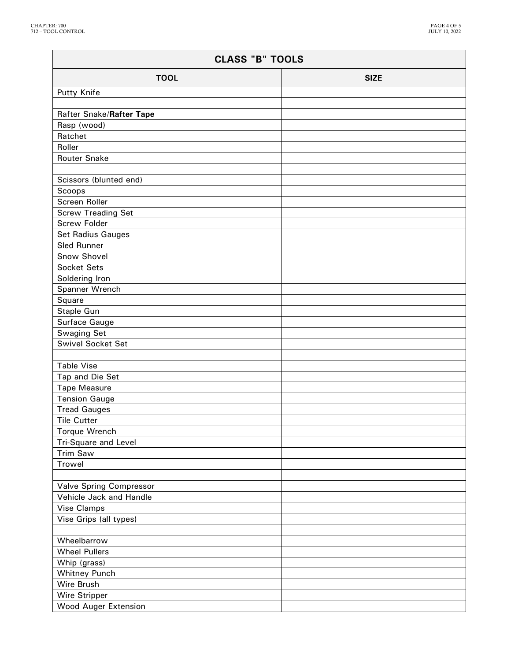| <b>TOOL</b><br><b>SIZE</b><br>Putty Knife<br>Rafter Snake/Rafter Tape<br>Rasp (wood)<br>Ratchet<br>Roller<br><b>Router Snake</b><br>Scissors (blunted end)<br>Scoops<br>Screen Roller<br><b>Screw Treading Set</b><br><b>Screw Folder</b><br><b>Set Radius Gauges</b><br><b>Sled Runner</b><br>Snow Shovel<br><b>Socket Sets</b><br>Soldering Iron<br>Spanner Wrench<br>Square<br>Staple Gun<br>Surface Gauge<br>Swaging Set<br><b>Swivel Socket Set</b><br><b>Table Vise</b><br>Tap and Die Set<br><b>Tape Measure</b><br><b>Tension Gauge</b><br><b>Tread Gauges</b><br><b>Tile Cutter</b><br>Torque Wrench<br>Tri-Square and Level<br><b>Trim Saw</b><br><b>Trowel</b><br><b>Valve Spring Compressor</b><br>Vehicle Jack and Handle<br><b>Vise Clamps</b><br>Vise Grips (all types)<br>Wheelbarrow<br><b>Wheel Pullers</b><br>Whip (grass)<br><b>Whitney Punch</b><br>Wire Brush<br>Wire Stripper<br>Wood Auger Extension | <b>CLASS "B" TOOLS</b> |  |  |
|------------------------------------------------------------------------------------------------------------------------------------------------------------------------------------------------------------------------------------------------------------------------------------------------------------------------------------------------------------------------------------------------------------------------------------------------------------------------------------------------------------------------------------------------------------------------------------------------------------------------------------------------------------------------------------------------------------------------------------------------------------------------------------------------------------------------------------------------------------------------------------------------------------------------------|------------------------|--|--|
|                                                                                                                                                                                                                                                                                                                                                                                                                                                                                                                                                                                                                                                                                                                                                                                                                                                                                                                              |                        |  |  |
|                                                                                                                                                                                                                                                                                                                                                                                                                                                                                                                                                                                                                                                                                                                                                                                                                                                                                                                              |                        |  |  |
|                                                                                                                                                                                                                                                                                                                                                                                                                                                                                                                                                                                                                                                                                                                                                                                                                                                                                                                              |                        |  |  |
|                                                                                                                                                                                                                                                                                                                                                                                                                                                                                                                                                                                                                                                                                                                                                                                                                                                                                                                              |                        |  |  |
|                                                                                                                                                                                                                                                                                                                                                                                                                                                                                                                                                                                                                                                                                                                                                                                                                                                                                                                              |                        |  |  |
|                                                                                                                                                                                                                                                                                                                                                                                                                                                                                                                                                                                                                                                                                                                                                                                                                                                                                                                              |                        |  |  |
|                                                                                                                                                                                                                                                                                                                                                                                                                                                                                                                                                                                                                                                                                                                                                                                                                                                                                                                              |                        |  |  |
|                                                                                                                                                                                                                                                                                                                                                                                                                                                                                                                                                                                                                                                                                                                                                                                                                                                                                                                              |                        |  |  |
|                                                                                                                                                                                                                                                                                                                                                                                                                                                                                                                                                                                                                                                                                                                                                                                                                                                                                                                              |                        |  |  |
|                                                                                                                                                                                                                                                                                                                                                                                                                                                                                                                                                                                                                                                                                                                                                                                                                                                                                                                              |                        |  |  |
|                                                                                                                                                                                                                                                                                                                                                                                                                                                                                                                                                                                                                                                                                                                                                                                                                                                                                                                              |                        |  |  |
|                                                                                                                                                                                                                                                                                                                                                                                                                                                                                                                                                                                                                                                                                                                                                                                                                                                                                                                              |                        |  |  |
|                                                                                                                                                                                                                                                                                                                                                                                                                                                                                                                                                                                                                                                                                                                                                                                                                                                                                                                              |                        |  |  |
|                                                                                                                                                                                                                                                                                                                                                                                                                                                                                                                                                                                                                                                                                                                                                                                                                                                                                                                              |                        |  |  |
|                                                                                                                                                                                                                                                                                                                                                                                                                                                                                                                                                                                                                                                                                                                                                                                                                                                                                                                              |                        |  |  |
|                                                                                                                                                                                                                                                                                                                                                                                                                                                                                                                                                                                                                                                                                                                                                                                                                                                                                                                              |                        |  |  |
|                                                                                                                                                                                                                                                                                                                                                                                                                                                                                                                                                                                                                                                                                                                                                                                                                                                                                                                              |                        |  |  |
|                                                                                                                                                                                                                                                                                                                                                                                                                                                                                                                                                                                                                                                                                                                                                                                                                                                                                                                              |                        |  |  |
|                                                                                                                                                                                                                                                                                                                                                                                                                                                                                                                                                                                                                                                                                                                                                                                                                                                                                                                              |                        |  |  |
|                                                                                                                                                                                                                                                                                                                                                                                                                                                                                                                                                                                                                                                                                                                                                                                                                                                                                                                              |                        |  |  |
|                                                                                                                                                                                                                                                                                                                                                                                                                                                                                                                                                                                                                                                                                                                                                                                                                                                                                                                              |                        |  |  |
|                                                                                                                                                                                                                                                                                                                                                                                                                                                                                                                                                                                                                                                                                                                                                                                                                                                                                                                              |                        |  |  |
|                                                                                                                                                                                                                                                                                                                                                                                                                                                                                                                                                                                                                                                                                                                                                                                                                                                                                                                              |                        |  |  |
|                                                                                                                                                                                                                                                                                                                                                                                                                                                                                                                                                                                                                                                                                                                                                                                                                                                                                                                              |                        |  |  |
|                                                                                                                                                                                                                                                                                                                                                                                                                                                                                                                                                                                                                                                                                                                                                                                                                                                                                                                              |                        |  |  |
|                                                                                                                                                                                                                                                                                                                                                                                                                                                                                                                                                                                                                                                                                                                                                                                                                                                                                                                              |                        |  |  |
|                                                                                                                                                                                                                                                                                                                                                                                                                                                                                                                                                                                                                                                                                                                                                                                                                                                                                                                              |                        |  |  |
|                                                                                                                                                                                                                                                                                                                                                                                                                                                                                                                                                                                                                                                                                                                                                                                                                                                                                                                              |                        |  |  |
|                                                                                                                                                                                                                                                                                                                                                                                                                                                                                                                                                                                                                                                                                                                                                                                                                                                                                                                              |                        |  |  |
|                                                                                                                                                                                                                                                                                                                                                                                                                                                                                                                                                                                                                                                                                                                                                                                                                                                                                                                              |                        |  |  |
|                                                                                                                                                                                                                                                                                                                                                                                                                                                                                                                                                                                                                                                                                                                                                                                                                                                                                                                              |                        |  |  |
|                                                                                                                                                                                                                                                                                                                                                                                                                                                                                                                                                                                                                                                                                                                                                                                                                                                                                                                              |                        |  |  |
|                                                                                                                                                                                                                                                                                                                                                                                                                                                                                                                                                                                                                                                                                                                                                                                                                                                                                                                              |                        |  |  |
|                                                                                                                                                                                                                                                                                                                                                                                                                                                                                                                                                                                                                                                                                                                                                                                                                                                                                                                              |                        |  |  |
|                                                                                                                                                                                                                                                                                                                                                                                                                                                                                                                                                                                                                                                                                                                                                                                                                                                                                                                              |                        |  |  |
|                                                                                                                                                                                                                                                                                                                                                                                                                                                                                                                                                                                                                                                                                                                                                                                                                                                                                                                              |                        |  |  |
|                                                                                                                                                                                                                                                                                                                                                                                                                                                                                                                                                                                                                                                                                                                                                                                                                                                                                                                              |                        |  |  |
|                                                                                                                                                                                                                                                                                                                                                                                                                                                                                                                                                                                                                                                                                                                                                                                                                                                                                                                              |                        |  |  |
|                                                                                                                                                                                                                                                                                                                                                                                                                                                                                                                                                                                                                                                                                                                                                                                                                                                                                                                              |                        |  |  |
|                                                                                                                                                                                                                                                                                                                                                                                                                                                                                                                                                                                                                                                                                                                                                                                                                                                                                                                              |                        |  |  |
|                                                                                                                                                                                                                                                                                                                                                                                                                                                                                                                                                                                                                                                                                                                                                                                                                                                                                                                              |                        |  |  |
|                                                                                                                                                                                                                                                                                                                                                                                                                                                                                                                                                                                                                                                                                                                                                                                                                                                                                                                              |                        |  |  |
|                                                                                                                                                                                                                                                                                                                                                                                                                                                                                                                                                                                                                                                                                                                                                                                                                                                                                                                              |                        |  |  |
|                                                                                                                                                                                                                                                                                                                                                                                                                                                                                                                                                                                                                                                                                                                                                                                                                                                                                                                              |                        |  |  |
|                                                                                                                                                                                                                                                                                                                                                                                                                                                                                                                                                                                                                                                                                                                                                                                                                                                                                                                              |                        |  |  |
|                                                                                                                                                                                                                                                                                                                                                                                                                                                                                                                                                                                                                                                                                                                                                                                                                                                                                                                              |                        |  |  |
|                                                                                                                                                                                                                                                                                                                                                                                                                                                                                                                                                                                                                                                                                                                                                                                                                                                                                                                              |                        |  |  |
|                                                                                                                                                                                                                                                                                                                                                                                                                                                                                                                                                                                                                                                                                                                                                                                                                                                                                                                              |                        |  |  |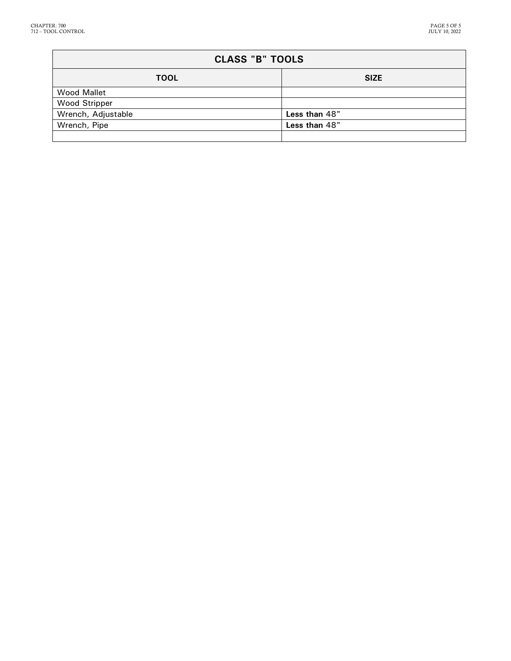| <b>CLASS "B" TOOLS</b> |               |  |
|------------------------|---------------|--|
| <b>TOOL</b>            | <b>SIZE</b>   |  |
| <b>Wood Mallet</b>     |               |  |
| <b>Wood Stripper</b>   |               |  |
| Wrench, Adjustable     | Less than 48" |  |
| Wrench, Pipe           | Less than 48" |  |
|                        |               |  |